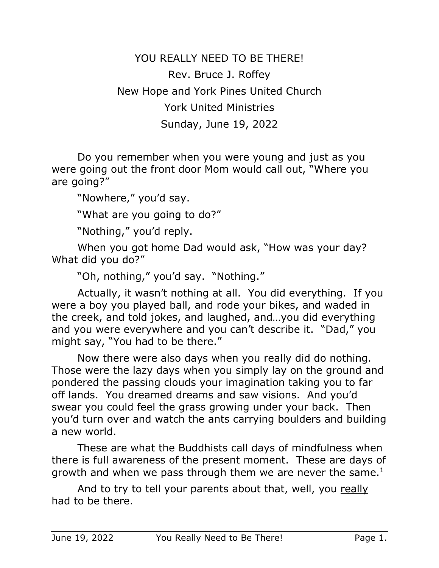YOU REALLY NEED TO BE THERE! Rev. Bruce J. Roffey New Hope and York Pines United Church York United Ministries Sunday, June 19, 2022

Do you remember when you were young and just as you were going out the front door Mom would call out, "Where you are going?"

"Nowhere," you'd say.

"What are you going to do?"

"Nothing," you'd reply.

When you got home Dad would ask, "How was your day? What did you do?"

"Oh, nothing," you'd say. "Nothing."

Actually, it wasn't nothing at all. You did everything. If you were a boy you played ball, and rode your bikes, and waded in the creek, and told jokes, and laughed, and…you did everything and you were everywhere and you can't describe it. "Dad," you might say, "You had to be there."

Now there were also days when you really did do nothing. Those were the lazy days when you simply lay on the ground and pondered the passing clouds your imagination taking you to far off lands. You dreamed dreams and saw visions. And you'd swear you could feel the grass growing under your back. Then you'd turn over and watch the ants carrying boulders and building a new world.

These are what the Buddhists call days of mindfulness when there is full awareness of the present moment. These are days of growth and when we pass through them we are never the same. $<sup>1</sup>$ </sup>

And to try to tell your parents about that, well, you really had to be there.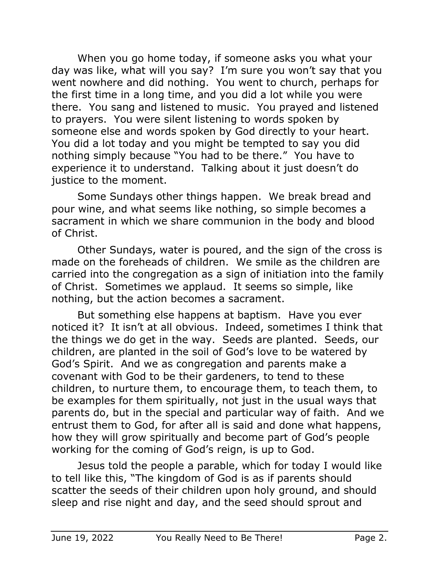When you go home today, if someone asks you what your day was like, what will you say? I'm sure you won't say that you went nowhere and did nothing. You went to church, perhaps for the first time in a long time, and you did a lot while you were there. You sang and listened to music. You prayed and listened to prayers. You were silent listening to words spoken by someone else and words spoken by God directly to your heart. You did a lot today and you might be tempted to say you did nothing simply because "You had to be there." You have to experience it to understand. Talking about it just doesn't do justice to the moment.

Some Sundays other things happen. We break bread and pour wine, and what seems like nothing, so simple becomes a sacrament in which we share communion in the body and blood of Christ.

Other Sundays, water is poured, and the sign of the cross is made on the foreheads of children. We smile as the children are carried into the congregation as a sign of initiation into the family of Christ. Sometimes we applaud. It seems so simple, like nothing, but the action becomes a sacrament.

But something else happens at baptism. Have you ever noticed it? It isn't at all obvious. Indeed, sometimes I think that the things we do get in the way. Seeds are planted. Seeds, our children, are planted in the soil of God's love to be watered by God's Spirit. And we as congregation and parents make a covenant with God to be their gardeners, to tend to these children, to nurture them, to encourage them, to teach them, to be examples for them spiritually, not just in the usual ways that parents do, but in the special and particular way of faith. And we entrust them to God, for after all is said and done what happens, how they will grow spiritually and become part of God's people working for the coming of God's reign, is up to God.

Jesus told the people a parable, which for today I would like to tell like this, "The kingdom of God is as if parents should scatter the seeds of their children upon holy ground, and should sleep and rise night and day, and the seed should sprout and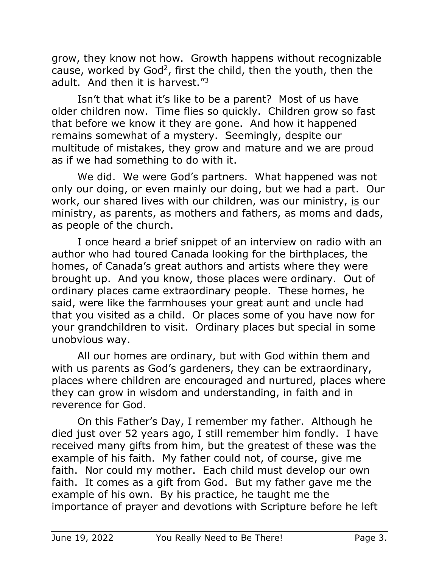grow, they know not how. Growth happens without recognizable cause, worked by God2, first the child, then the youth, then the adult. And then it is harvest."<sup>3</sup>

Isn't that what it's like to be a parent? Most of us have older children now. Time flies so quickly. Children grow so fast that before we know it they are gone. And how it happened remains somewhat of a mystery. Seemingly, despite our multitude of mistakes, they grow and mature and we are proud as if we had something to do with it.

We did. We were God's partners. What happened was not only our doing, or even mainly our doing, but we had a part. Our work, our shared lives with our children, was our ministry, is our ministry, as parents, as mothers and fathers, as moms and dads, as people of the church.

I once heard a brief snippet of an interview on radio with an author who had toured Canada looking for the birthplaces, the homes, of Canada's great authors and artists where they were brought up. And you know, those places were ordinary. Out of ordinary places came extraordinary people. These homes, he said, were like the farmhouses your great aunt and uncle had that you visited as a child. Or places some of you have now for your grandchildren to visit. Ordinary places but special in some unobvious way.

All our homes are ordinary, but with God within them and with us parents as God's gardeners, they can be extraordinary, places where children are encouraged and nurtured, places where they can grow in wisdom and understanding, in faith and in reverence for God.

On this Father's Day, I remember my father. Although he died just over 52 years ago, I still remember him fondly. I have received many gifts from him, but the greatest of these was the example of his faith. My father could not, of course, give me faith. Nor could my mother. Each child must develop our own faith. It comes as a gift from God. But my father gave me the example of his own. By his practice, he taught me the importance of prayer and devotions with Scripture before he left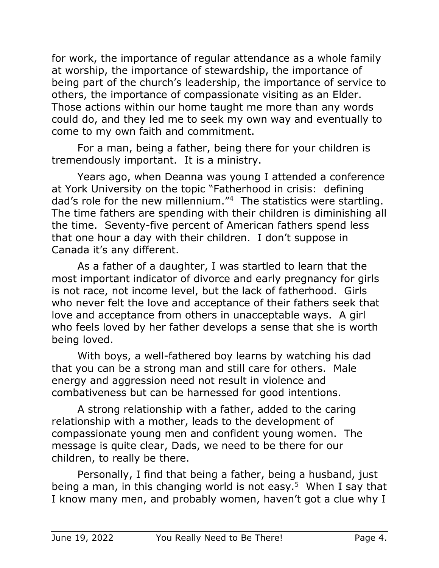for work, the importance of regular attendance as a whole family at worship, the importance of stewardship, the importance of being part of the church's leadership, the importance of service to others, the importance of compassionate visiting as an Elder. Those actions within our home taught me more than any words could do, and they led me to seek my own way and eventually to come to my own faith and commitment.

For a man, being a father, being there for your children is tremendously important. It is a ministry.

Years ago, when Deanna was young I attended a conference at York University on the topic "Fatherhood in crisis: defining dad's role for the new millennium."4 The statistics were startling. The time fathers are spending with their children is diminishing all the time. Seventy-five percent of American fathers spend less that one hour a day with their children. I don't suppose in Canada it's any different.

As a father of a daughter, I was startled to learn that the most important indicator of divorce and early pregnancy for girls is not race, not income level, but the lack of fatherhood. Girls who never felt the love and acceptance of their fathers seek that love and acceptance from others in unacceptable ways. A girl who feels loved by her father develops a sense that she is worth being loved.

With boys, a well-fathered boy learns by watching his dad that you can be a strong man and still care for others. Male energy and aggression need not result in violence and combativeness but can be harnessed for good intentions.

A strong relationship with a father, added to the caring relationship with a mother, leads to the development of compassionate young men and confident young women. The message is quite clear, Dads, we need to be there for our children, to really be there.

Personally, I find that being a father, being a husband, just being a man, in this changing world is not easy.<sup>5</sup> When I say that I know many men, and probably women, haven't got a clue why I